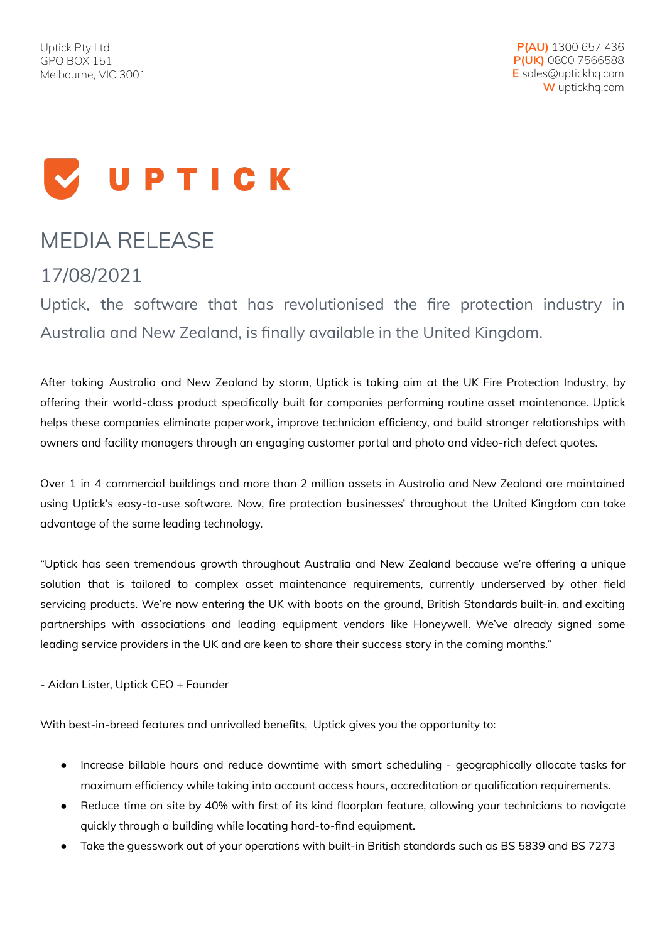

## MEDIA RELEASE

## 17/08/2021

Uptick, the software that has revolutionised the fire protection industry in Australia and New Zealand, is finally available in the United Kingdom.

After taking Australia and New Zealand by storm, Uptick is taking aim at the UK Fire Protection Industry, by offering their world-class product specifically built for companies performing routine asset maintenance. Uptick helps these companies eliminate paperwork, improve technician efficiency, and build stronger relationships with owners and facility managers through an engaging customer portal and photo and video-rich defect quotes.

Over 1 in 4 commercial buildings and more than 2 million assets in Australia and New Zealand are maintained using Uptick's easy-to-use software. Now, fire protection businesses' throughout the United Kingdom can take advantage of the same leading technology.

"Uptick has seen tremendous growth throughout Australia and New Zealand because we're offering a unique solution that is tailored to complex asset maintenance requirements, currently underserved by other field servicing products. We're now entering the UK with boots on the ground, British Standards built-in, and exciting partnerships with associations and leading equipment vendors like Honeywell. We've already signed some leading service providers in the UK and are keen to share their success story in the coming months."

- Aidan Lister, Uptick CEO + Founder

With best-in-breed features and unrivalled benefits, Uptick gives you the opportunity to:

- Increase billable hours and reduce downtime with smart scheduling geographically allocate tasks for maximum efficiency while taking into account access hours, accreditation or qualification requirements.
- Reduce time on site by 40% with first of its kind floorplan feature, allowing your technicians to navigate quickly through a building while locating hard-to-find equipment.
- Take the guesswork out of your operations with built-in British standards such as BS 5839 and BS 7273